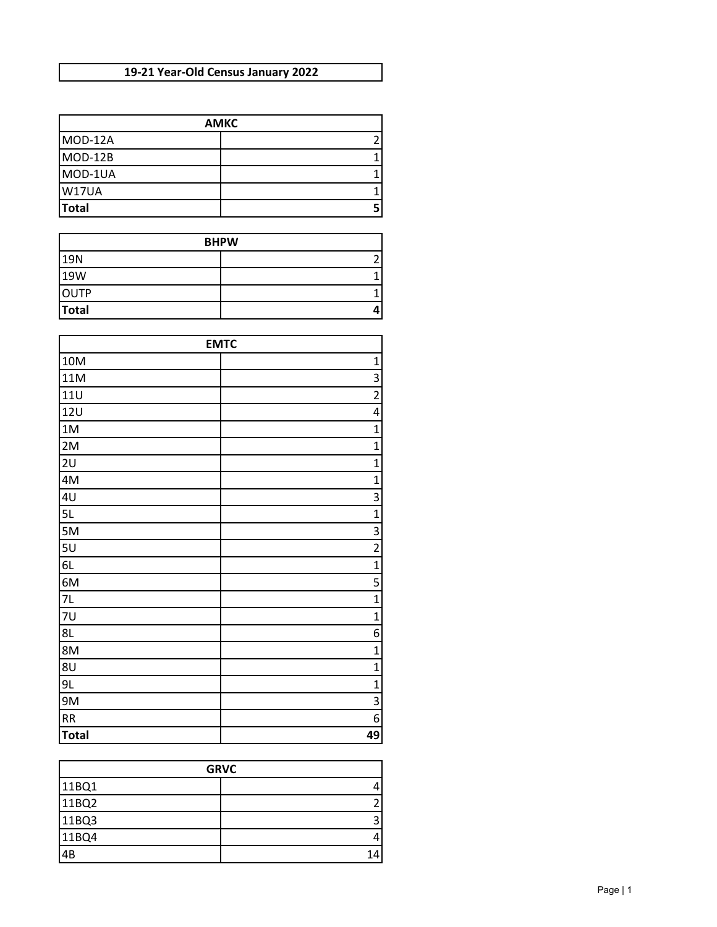## **19-21 Year-Old Census January 2022**

| <b>AMKC</b>  |  |
|--------------|--|
| MOD-12A      |  |
| MOD-12B      |  |
| MOD-1UA      |  |
| W17UA        |  |
| <b>Total</b> |  |

| <b>BHPW</b>  |  |
|--------------|--|
| <b>19N</b>   |  |
| <b>19W</b>   |  |
| <b>OUTP</b>  |  |
| <b>Total</b> |  |

| <b>EMTC</b>  |                |
|--------------|----------------|
| 10M          | $\mathbf{1}$   |
| 11M          | 3              |
| <b>11U</b>   | $\overline{2}$ |
| 12U          | 4              |
| 1M           | $\mathbf{1}$   |
| 2M           | $\overline{1}$ |
| 2U           | $\mathbf{1}$   |
| 4M           | $\mathbf{1}$   |
| 4U           | $\overline{3}$ |
| 5L           | $\overline{1}$ |
| 5M           | $\overline{3}$ |
| 5U           | $\overline{2}$ |
| 6L           | $\mathbf{1}$   |
| 6M           | 5              |
| 7L           | $\overline{1}$ |
| 7U           | $\mathbf{1}$   |
| 8L           | 6              |
| 8M           | $\mathbf{1}$   |
| 8U           | $\mathbf{1}$   |
| 9L           | $\mathbf{1}$   |
| 9M           | $\overline{3}$ |
| <b>RR</b>    | 6              |
| <b>Total</b> | 49             |

| <b>GRVC</b> |    |
|-------------|----|
| 11BQ1       |    |
| 11BQ2       |    |
| 11BQ3       |    |
| 11BQ4       |    |
| 4B          | 14 |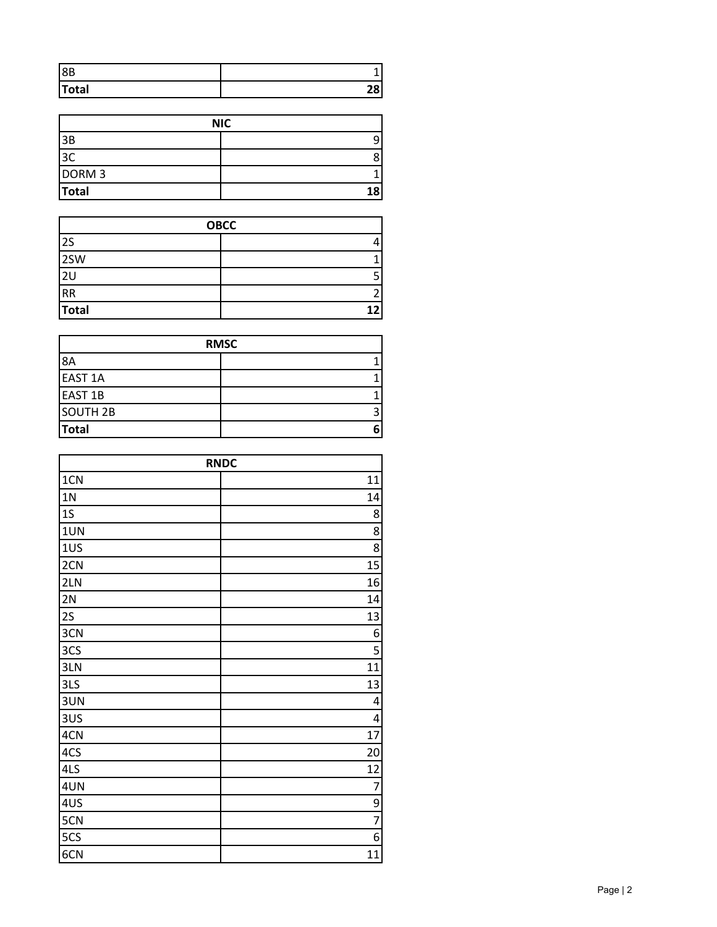| 8B           |          |
|--------------|----------|
| <b>Total</b> | эo<br>-0 |

| <b>NIC</b>        |   |
|-------------------|---|
| 3B                |   |
| 3C                |   |
| DORM <sub>3</sub> |   |
| <b>Total</b>      | я |

| <b>OBCC</b>     |  |
|-----------------|--|
| 2S              |  |
| 2SW             |  |
| 2U              |  |
| $\overline{RR}$ |  |
| Total           |  |

| <b>RMSC</b>         |   |
|---------------------|---|
| 8A                  |   |
| <b>EAST 1A</b>      |   |
| <b>EAST 1B</b>      |   |
| SOUTH <sub>2B</sub> | 3 |
| <b>Total</b>        | 6 |

| <b>RNDC</b>    |                         |
|----------------|-------------------------|
| 1CN            | 11                      |
| 1 <sub>N</sub> | 14                      |
| 1S             | 8                       |
| 1UN            | $\overline{8}$          |
| 1US            | $\overline{8}$          |
| 2CN            | 15                      |
| 2LN            | 16                      |
| 2N             | 14                      |
| 2S             | 13                      |
| 3CN            | 6                       |
| 3CS            | $\overline{\mathbf{5}}$ |
| 3LN            | 11                      |
| 3LS            | 13                      |
| 3UN            | 4                       |
| 3US            | 4                       |
| 4CN            | 17                      |
| 4CS            | 20                      |
| 4LS            | 12                      |
| 4UN            | 7                       |
| 4US            | $\frac{9}{7}$           |
| 5CN            |                         |
| 5CS            | 6                       |
| 6CN            | 11                      |